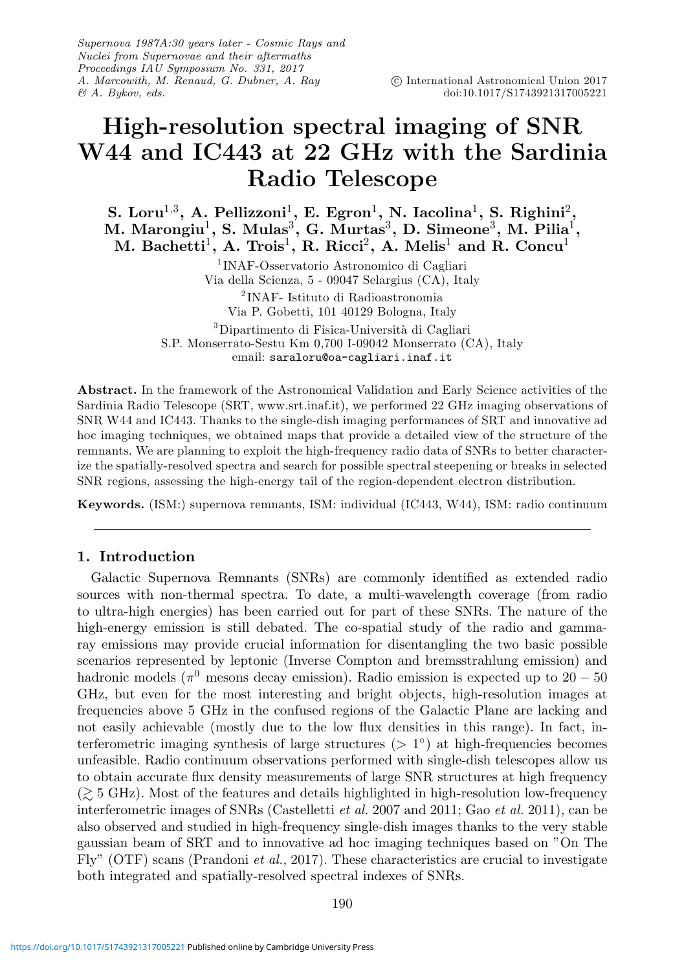Supernova 1987A:30 years later - Cosmic Rays and Nuclei from Supernovae and their aftermaths Proceedings IAU Symposium No. 331, 2017 A. Marcowith, M. Renaud, G. Dubner, A. Ray & A. Bykov, eds.

# **High-resolution spectral imaging of SNR W44 and IC443 at 22 GHz with the Sardinia Radio Telescope**

**S. Loru**1,3**, A. Pellizzoni**1**, E. Egron**1**, N. Iacolina**1**, S. Righini**2**, M. Marongiu**1**, S. Mulas**3**, G. Murtas**3**, D. Simeone**3**, M. Pilia**1**, M. Bachetti**1**, A. Trois**1**, R. Ricci**2**, A. Melis**<sup>1</sup> **and R. Concu**<sup>1</sup>

> <sup>1</sup> INAF-Osservatorio Astronomico di Cagliari Via della Scienza, 5 - 09047 Selargius (CA), Italy <sup>2</sup> INAF- Istituto di Radioastronomia Via P. Gobetti, 101 40129 Bologna, Italy <sup>3</sup>Dipartimento di Fisica-Università di Cagliari S.P. Monserrato-Sestu Km 0,700 I-09042 Monserrato (CA), Italy

email: saraloru@oa-cagliari.inaf.it

**Abstract.** In the framework of the Astronomical Validation and Early Science activities of the Sardinia Radio Telescope (SRT, www.srt.inaf.it), we performed 22 GHz imaging observations of SNR W44 and IC443. Thanks to the single-dish imaging performances of SRT and innovative ad hoc imaging techniques, we obtained maps that provide a detailed view of the structure of the remnants. We are planning to exploit the high-frequency radio data of SNRs to better characterize the spatially-resolved spectra and search for possible spectral steepening or breaks in selected SNR regions, assessing the high-energy tail of the region-dependent electron distribution.

**Keywords.** (ISM:) supernova remnants, ISM: individual (IC443, W44), ISM: radio continuum

## **1. Introduction**

Galactic Supernova Remnants (SNRs) are commonly identified as extended radio sources with non-thermal spectra. To date, a multi-wavelength coverage (from radio to ultra-high energies) has been carried out for part of these SNRs. The nature of the high-energy emission is still debated. The co-spatial study of the radio and gammaray emissions may provide crucial information for disentangling the two basic possible scenarios represented by leptonic (Inverse Compton and bremsstrahlung emission) and hadronic models ( $\pi^0$  mesons decay emission). Radio emission is expected up to 20 – 50 GHz, but even for the most interesting and bright objects, high-resolution images at frequencies above 5 GHz in the confused regions of the Galactic Plane are lacking and not easily achievable (mostly due to the low flux densities in this range). In fact, interferometric imaging synthesis of large structures ( $> 1°$ ) at high-frequencies becomes unfeasible. Radio continuum observations performed with single-dish telescopes allow us to obtain accurate flux density measurements of large SNR structures at high frequency  $\approx$  5 GHz). Most of the features and details highlighted in high-resolution low-frequency interferometric images of SNRs (Castelletti et al. 2007 and 2011; Gao et al. 2011), can be also observed and studied in high-frequency single-dish images thanks to the very stable gaussian beam of SRT and to innovative ad hoc imaging techniques based on "On The Fly" (OTF) scans (Prandoni *et al.*, 2017). These characteristics are crucial to investigate both integrated and spatially-resolved spectral indexes of SNRs.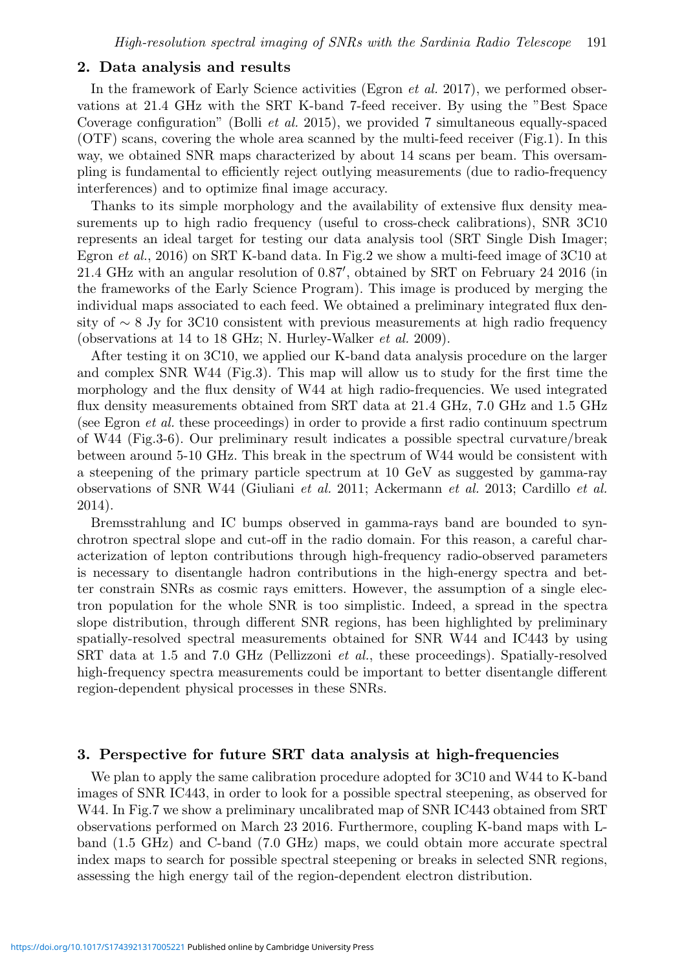### **2. Data analysis and results**

In the framework of Early Science activities (Egron *et al.* 2017), we performed observations at 21.4 GHz with the SRT K-band 7-feed receiver. By using the "Best Space Coverage configuration" (Bolli *et al.* 2015), we provided 7 simultaneous equally-spaced (OTF) scans, covering the whole area scanned by the multi-feed receiver (Fig.1). In this way, we obtained SNR maps characterized by about 14 scans per beam. This oversampling is fundamental to efficiently reject outlying measurements (due to radio-frequency interferences) and to optimize final image accuracy.

Thanks to its simple morphology and the availability of extensive flux density measurements up to high radio frequency (useful to cross-check calibrations), SNR 3C10 represents an ideal target for testing our data analysis tool (SRT Single Dish Imager; Egron *et al.*, 2016) on SRT K-band data. In Fig.2 we show a multi-feed image of 3C10 at 21.4 GHz with an angular resolution of 0.87 , obtained by SRT on February 24 2016 (in the frameworks of the Early Science Program). This image is produced by merging the individual maps associated to each feed. We obtained a preliminary integrated flux density of ∼ 8 Jy for 3C10 consistent with previous measurements at high radio frequency (observations at 14 to 18 GHz; N. Hurley-Walker  $et \ al. 2009$ ).

After testing it on 3C10, we applied our K-band data analysis procedure on the larger and complex SNR W44 (Fig.3). This map will allow us to study for the first time the morphology and the flux density of W44 at high radio-frequencies. We used integrated flux density measurements obtained from SRT data at 21.4 GHz, 7.0 GHz and 1.5 GHz (see Egron et al. these proceedings) in order to provide a first radio continuum spectrum of W44 (Fig.3-6). Our preliminary result indicates a possible spectral curvature/break between around 5-10 GHz. This break in the spectrum of W44 would be consistent with a steepening of the primary particle spectrum at 10 GeV as suggested by gamma-ray observations of SNR W44 (Giuliani et al. 2011; Ackermann et al. 2013; Cardillo et al. 2014).

Bremsstrahlung and IC bumps observed in gamma-rays band are bounded to synchrotron spectral slope and cut-off in the radio domain. For this reason, a careful characterization of lepton contributions through high-frequency radio-observed parameters is necessary to disentangle hadron contributions in the high-energy spectra and better constrain SNRs as cosmic rays emitters. However, the assumption of a single electron population for the whole SNR is too simplistic. Indeed, a spread in the spectra slope distribution, through different SNR regions, has been highlighted by preliminary spatially-resolved spectral measurements obtained for SNR W44 and IC443 by using SRT data at 1.5 and 7.0 GHz (Pellizzoni et al., these proceedings). Spatially-resolved high-frequency spectra measurements could be important to better disentangle different region-dependent physical processes in these SNRs.

#### **3. Perspective for future SRT data analysis at high-frequencies**

We plan to apply the same calibration procedure adopted for 3C10 and W44 to K-band images of SNR IC443, in order to look for a possible spectral steepening, as observed for W44. In Fig.7 we show a preliminary uncalibrated map of SNR IC443 obtained from SRT observations performed on March 23 2016. Furthermore, coupling K-band maps with Lband (1.5 GHz) and C-band (7.0 GHz) maps, we could obtain more accurate spectral index maps to search for possible spectral steepening or breaks in selected SNR regions, assessing the high energy tail of the region-dependent electron distribution.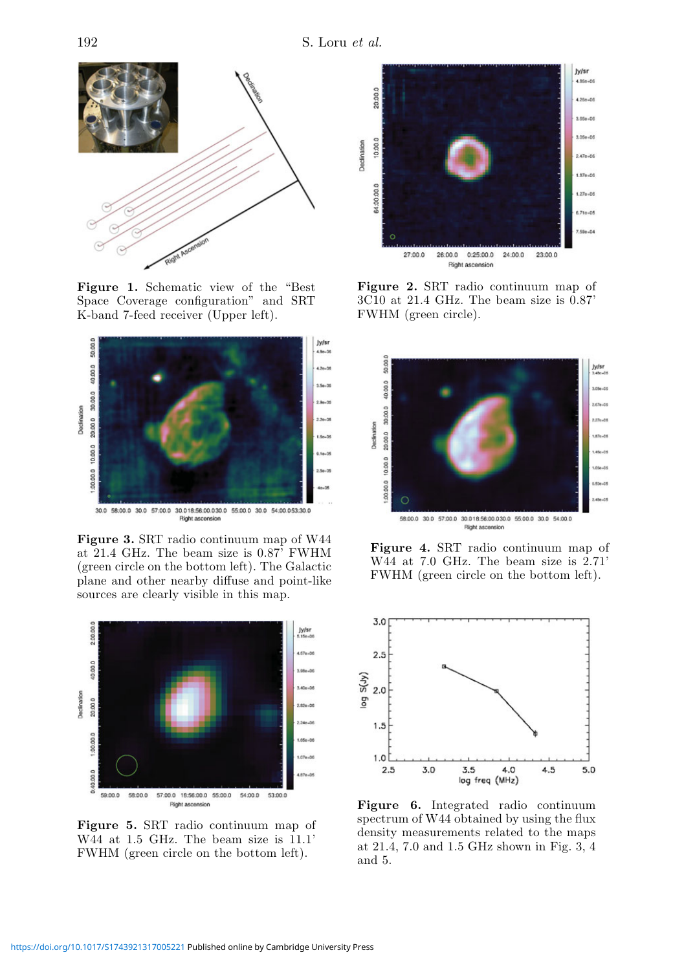

**Figure 1.** Schematic view of the "Best Space Coverage configuration" and SRT K-band 7-feed receiver (Upper left).



**Figure 3.** SRT radio continuum map of W44 at 21.4 GHz. The beam size is 0.87' FWHM (green circle on the bottom left). The Galactic plane and other nearby diffuse and point-like sources are clearly visible in this map.



**Figure 5.** SRT radio continuum map of W44 at 1.5 GHz. The beam size is 11.1' FWHM (green circle on the bottom left).



**Figure 2.** SRT radio continuum map of 3C10 at 21.4 GHz. The beam size is 0.87' FWHM (green circle).



**Figure 4.** SRT radio continuum map of W44 at 7.0 GHz. The beam size is 2.71' FWHM (green circle on the bottom left).



**Figure 6.** Integrated radio continuum spectrum of W44 obtained by using the flux density measurements related to the maps at 21.4, 7.0 and 1.5 GHz shown in Fig. 3, 4 and 5.